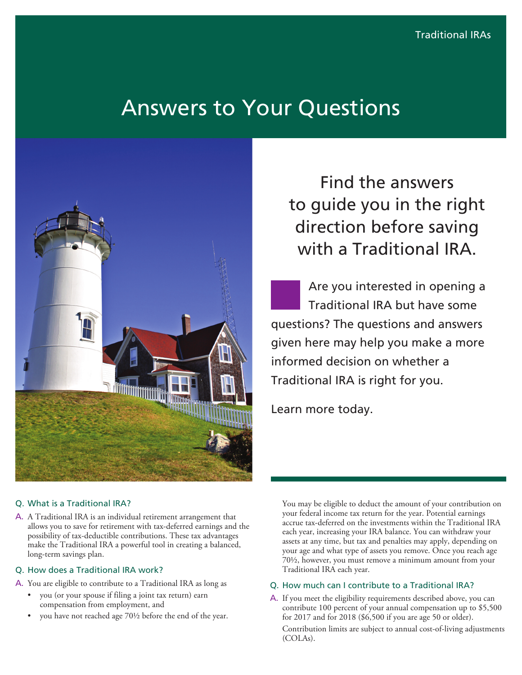# Answers to Your Questions



## Find the answers to guide you in the right direction before saving with a Traditional IRA.

Are you interested in opening a Traditional IRA but have some questions? The questions and answers given here may help you make a more informed decision on whether a Traditional IRA is right for you.

Learn more today.

## Q. What is a Traditional IRA?

A. A Traditional IRA is an individual retirement arrangement that allows you to save for retirement with tax-deferred earnings and the possibility of tax-deductible contributions. These tax advantages make the Traditional IRA a powerful tool in creating a balanced, long-term savings plan.

#### Q. How does a Traditional IRA work?

- A. You are eligible to contribute to a Traditional IRA as long as
	- you (or your spouse if filing a joint tax return) earn compensation from employment, and
	- you have not reached age 70½ before the end of the year.

You may be eligible to deduct the amount of your contribution on your federal income tax return for the year. Potential earnings accrue tax-deferred on the investments within the Traditional IRA each year, increasing your IRA balance. You can withdraw your assets at any time, but tax and penalties may apply, depending on your age and what type of assets you remove. Once you reach age 70½, however, you must remove a minimum amount from your Traditional IRA each year.

## Q. How much can I contribute to a Traditional IRA?

A. If you meet the eligibility requirements described above, you can contribute 100 percent of your annual compensation up to \$5,500 for 2017 and for 2018 (\$6,500 if you are age 50 or older). Contribution limits are subject to annual cost-of-living adjustments (COLAs).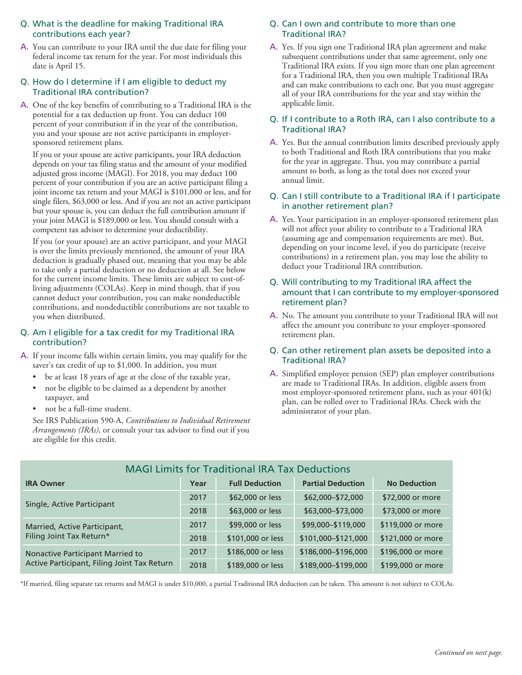## Q. What is the deadline for making Traditional IRA contributions each year?

A. You can contribute to your IRA until the due date for filing your federal income tax return for the year. For most individuals this date is April 15.

## Q. How do I determine if I am eligible to deduct my Traditional IRA contribution?

A. One of the key benefits of contributing to a Traditional IRA is the potential for a tax deduction up front. You can deduct 100 percent of your contribution if in the year of the contribution, you and your spouse are not active participants in employersponsored retirement plans.

If you or your spouse are active participants, your IRA deduction depends on your tax filing status and the amount of your modified adjusted gross income (MAGI). For 2018, you may deduct 100 percent of your contribution if you are an active participant filing a joint income tax return and your MAGI is \$101,000 or less, and for single filers, \$63,000 or less. And if you are not an active participant but your spouse is, you can deduct the full contribution amount if your joint MAGI is \$189,000 or less. You should consult with a competent tax advisor to determine your deductibility.

If you (or your spouse) are an active participant, and your MAGI is over the limits previously mentioned, the amount of your IRA deduction is gradually phased out, meaning that you may be able to take only a partial deduction or no deduction at all. See below for the current income limits. These limits are subject to cost-ofliving adjustments (COLAs). Keep in mind though, that if you cannot deduct your contribution, you can make nondeductible contributions, and nondeductible contributions are not taxable to you when distributed.

## Q. Am I eligible for a tax credit for my Traditional IRA contribution?

- A. If your income falls within certain limits, you may qualify for the saver's tax credit of up to \$1,000. In addition, you must
	- be at least 18 years of age at the close of the taxable year,
	- not be eligible to be claimed as a dependent by another taxpayer, and
	- not be a full-time student.

See IRS Publication 590-A, *Contributions to Individual Retirement Arrangements (IRAs)*, or consult your tax advisor to find out if you are eligible for this credit.

## Q. Can I own and contribute to more than one Traditional IRA?

A. Yes. If you sign one Traditional IRA plan agreement and make subsequent contributions under that same agreement, only one Traditional IRA exists. If you sign more than one plan agreement for a Traditional IRA, then you own multiple Traditional IRAs and can make contributions to each one. But you must aggregate all of your IRA contributions for the year and stay within the applicable limit.

### Q. If I contribute to a Roth IRA, can I also contribute to a Traditional IRA?

A. Yes. But the annual contribution limits described previously apply to both Traditional and Roth IRA contributions that you make for the year in aggregate. Thus, you may contribute a partial amount to both, as long as the total does not exceed your annual limit.

#### Q. Can I still contribute to a Traditional IRA if I participate in another retirement plan?

A. Yes. Your participation in an employer-sponsored retirement plan will not affect your ability to contribute to a Traditional IRA (assuming age and compensation requirements are met). But, depending on your income level, if you do participate (receive contributions) in a retirement plan, you may lose the ability to deduct your Traditional IRA contribution.

#### Q. Will contributing to my Traditional IRA affect the amount that I can contribute to my employer-sponsored retirement plan?

A. No. The amount you contribute to your Traditional IRA will not affect the amount you contribute to your employer-sponsored retirement plan.

#### Q. Can other retirement plan assets be deposited into a Traditional IRA?

A. Simplified employee pension (SEP) plan employer contributions are made to Traditional IRAs. In addition, eligible assets from most employer-sponsored retirement plans, such as your 401(k) plan, can be rolled over to Traditional IRAs. Check with the administrator of your plan.

| <b>MAGI Limits for Traditional IRA Tax Deductions</b>                           |      |                       |                          |                     |
|---------------------------------------------------------------------------------|------|-----------------------|--------------------------|---------------------|
| <b>IRA Owner</b>                                                                | Year | <b>Full Deduction</b> | <b>Partial Deduction</b> | <b>No Deduction</b> |
| Single, Active Participant                                                      | 2017 | \$62,000 or less      | \$62,000-\$72,000        | \$72,000 or more    |
|                                                                                 | 2018 | \$63,000 or less      | \$63,000-\$73,000        | \$73,000 or more    |
| Married, Active Participant,<br>Filing Joint Tax Return*                        | 2017 | \$99,000 or less      | \$99,000-\$119,000       | \$119,000 or more   |
|                                                                                 | 2018 | \$101,000 or less     | \$101,000-\$121,000      | \$121,000 or more   |
| Nonactive Participant Married to<br>Active Participant, Filing Joint Tax Return | 2017 | \$186,000 or less     | \$186,000-\$196,000      | \$196,000 or more   |
|                                                                                 | 2018 | \$189,000 or less     | \$189,000-\$199,000      | \$199,000 or more   |

\*If married, filing separate tax returns and MAGI is under \$10,000, a partial Traditional IRA deduction can be taken. This amount is not subject to COLAs.